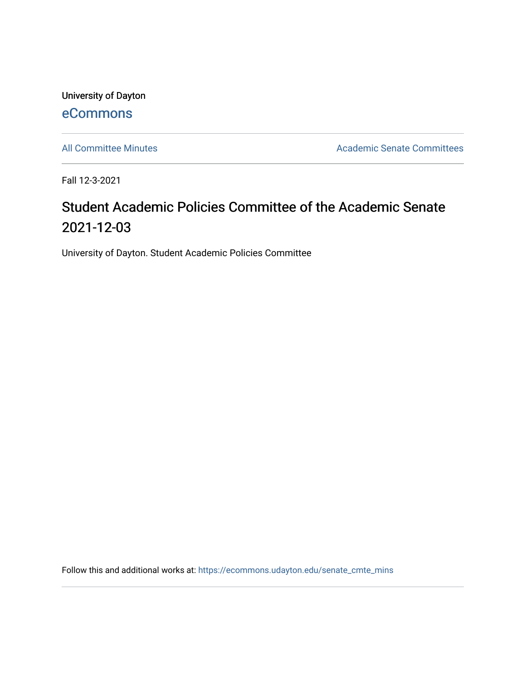University of Dayton [eCommons](https://ecommons.udayton.edu/)

[All Committee Minutes](https://ecommons.udayton.edu/senate_cmte_mins) **Academic Senate Committees** 

Fall 12-3-2021

## Student Academic Policies Committee of the Academic Senate 2021-12-03

University of Dayton. Student Academic Policies Committee

Follow this and additional works at: [https://ecommons.udayton.edu/senate\\_cmte\\_mins](https://ecommons.udayton.edu/senate_cmte_mins?utm_source=ecommons.udayton.edu%2Fsenate_cmte_mins%2F473&utm_medium=PDF&utm_campaign=PDFCoverPages)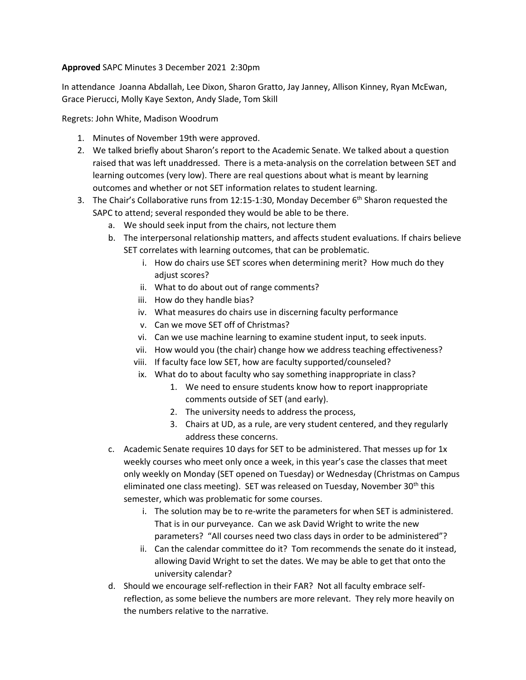## **Approved** SAPC Minutes 3 December 2021 2:30pm

In attendance Joanna Abdallah, Lee Dixon, Sharon Gratto, Jay Janney, Allison Kinney, Ryan McEwan, Grace Pierucci, Molly Kaye Sexton, Andy Slade, Tom Skill

Regrets: John White, Madison Woodrum

- 1. Minutes of November 19th were approved.
- 2. We talked briefly about Sharon's report to the Academic Senate. We talked about a question raised that was left unaddressed. There is a meta-analysis on the correlation between SET and learning outcomes (very low). There are real questions about what is meant by learning outcomes and whether or not SET information relates to student learning.
- 3. The Chair's Collaborative runs from 12:15-1:30, Monday December  $6<sup>th</sup>$  Sharon requested the SAPC to attend; several responded they would be able to be there.
	- a. We should seek input from the chairs, not lecture them
	- b. The interpersonal relationship matters, and affects student evaluations. If chairs believe SET correlates with learning outcomes, that can be problematic.
		- i. How do chairs use SET scores when determining merit? How much do they adjust scores?
		- ii. What to do about out of range comments?
		- iii. How do they handle bias?
		- iv. What measures do chairs use in discerning faculty performance
		- v. Can we move SET off of Christmas?
		- vi. Can we use machine learning to examine student input, to seek inputs.
		- vii. How would you (the chair) change how we address teaching effectiveness?
		- viii. If faculty face low SET, how are faculty supported/counseled?
		- ix. What do to about faculty who say something inappropriate in class?
			- 1. We need to ensure students know how to report inappropriate comments outside of SET (and early).
			- 2. The university needs to address the process,
			- 3. Chairs at UD, as a rule, are very student centered, and they regularly address these concerns.
	- c. Academic Senate requires 10 days for SET to be administered. That messes up for 1x weekly courses who meet only once a week, in this year's case the classes that meet only weekly on Monday (SET opened on Tuesday) or Wednesday (Christmas on Campus eliminated one class meeting). SET was released on Tuesday, November 30<sup>th</sup> this semester, which was problematic for some courses.
		- i. The solution may be to re-write the parameters for when SET is administered. That is in our purveyance. Can we ask David Wright to write the new parameters? "All courses need two class days in order to be administered"?
		- ii. Can the calendar committee do it? Tom recommends the senate do it instead, allowing David Wright to set the dates. We may be able to get that onto the university calendar?
	- d. Should we encourage self-reflection in their FAR? Not all faculty embrace selfreflection, as some believe the numbers are more relevant. They rely more heavily on the numbers relative to the narrative.